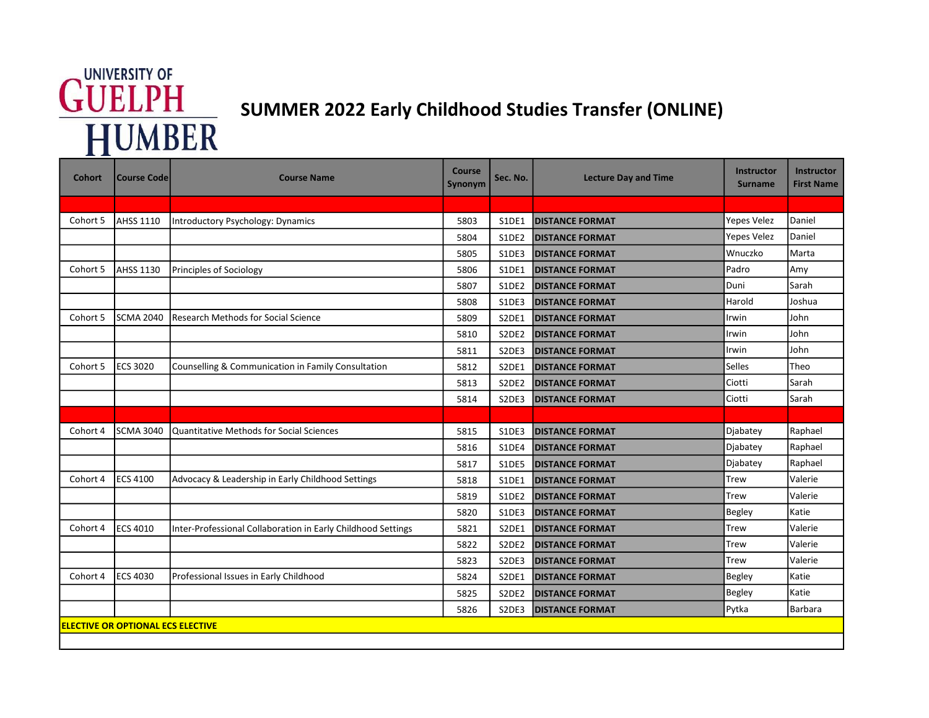## **GUELPH**<br>
SUMMER 2022 Early Childhood Studies Transfer (ONLINE)<br>
HUMBER

| <b>Cohort</b>                            | <b>Course Code</b> | <b>Course Name</b>                                           | Course<br>Synonym | Sec. No.                       | <b>Lecture Day and Time</b> | <b>Instructor</b><br><b>Surname</b> | <b>Instructor</b><br><b>First Name</b> |  |  |  |  |
|------------------------------------------|--------------------|--------------------------------------------------------------|-------------------|--------------------------------|-----------------------------|-------------------------------------|----------------------------------------|--|--|--|--|
|                                          |                    |                                                              |                   |                                |                             |                                     |                                        |  |  |  |  |
| Cohort 5                                 | AHSS 1110          | Introductory Psychology: Dynamics                            | 5803              | S1DE1                          | <b>DISTANCE FORMAT</b>      | <b>Yepes Velez</b>                  | Daniel                                 |  |  |  |  |
|                                          |                    |                                                              | 5804              | S1DE2                          | <b>DISTANCE FORMAT</b>      | Yepes Velez                         | Daniel                                 |  |  |  |  |
|                                          |                    |                                                              | 5805              | S1DE3                          | <b>DISTANCE FORMAT</b>      | Wnuczko                             | Marta                                  |  |  |  |  |
| Cohort 5                                 | <b>AHSS 1130</b>   | Principles of Sociology                                      | 5806              | S1DE1                          | <b>DISTANCE FORMAT</b>      | Padro                               | Amy                                    |  |  |  |  |
|                                          |                    |                                                              | 5807              | S1DE2                          | <b>DISTANCE FORMAT</b>      | Duni                                | Sarah                                  |  |  |  |  |
|                                          |                    |                                                              | 5808              | S1DE3                          | <b>DISTANCE FORMAT</b>      | Harold                              | Joshua                                 |  |  |  |  |
| Cohort 5                                 | <b>SCMA 2040</b>   | <b>Research Methods for Social Science</b>                   | 5809              | S2DE1                          | <b>DISTANCE FORMAT</b>      | Irwin                               | John                                   |  |  |  |  |
|                                          |                    |                                                              | 5810              | S2DE2                          | <b>IDISTANCE FORMAT</b>     | Irwin                               | John                                   |  |  |  |  |
|                                          |                    |                                                              | 5811              | S2DE3                          | <b>DISTANCE FORMAT</b>      | Irwin                               | John                                   |  |  |  |  |
| Cohort 5                                 | <b>ECS 3020</b>    | Counselling & Communication in Family Consultation           | 5812              | S2DE1                          | <b>DISTANCE FORMAT</b>      | Selles                              | Theo                                   |  |  |  |  |
|                                          |                    |                                                              | 5813              | S2DE2                          | <b>DISTANCE FORMAT</b>      | Ciotti                              | Sarah                                  |  |  |  |  |
|                                          |                    |                                                              | 5814              | S2DE3                          | <b>DISTANCE FORMAT</b>      | Ciotti                              | Sarah                                  |  |  |  |  |
|                                          |                    |                                                              |                   |                                |                             |                                     |                                        |  |  |  |  |
| Cohort 4                                 | <b>SCMA 3040</b>   | Quantitative Methods for Social Sciences                     | 5815              | S1DE3                          | <b>DISTANCE FORMAT</b>      | Djabatey                            | Raphael                                |  |  |  |  |
|                                          |                    |                                                              | 5816              | S1DE4                          | <b>DISTANCE FORMAT</b>      | Djabatey                            | Raphael                                |  |  |  |  |
|                                          |                    |                                                              | 5817              | S1DE5                          | <b>DISTANCE FORMAT</b>      | Djabatey                            | Raphael                                |  |  |  |  |
| Cohort 4                                 | <b>ECS 4100</b>    | Advocacy & Leadership in Early Childhood Settings            | 5818              | S1DE1                          | <b>DISTANCE FORMAT</b>      | <b>Trew</b>                         | Valerie                                |  |  |  |  |
|                                          |                    |                                                              | 5819              | S1DE2                          | <b>DISTANCE FORMAT</b>      | Trew                                | Valerie                                |  |  |  |  |
|                                          |                    |                                                              | 5820              | S1DE3                          | <b>DISTANCE FORMAT</b>      | <b>Begley</b>                       | Katie                                  |  |  |  |  |
| Cohort 4                                 | <b>ECS 4010</b>    | Inter-Professional Collaboration in Early Childhood Settings | 5821              | S2DE1                          | <b>DISTANCE FORMAT</b>      | Trew                                | Valerie                                |  |  |  |  |
|                                          |                    |                                                              | 5822              | S2DE2                          | <b>DISTANCE FORMAT</b>      | Trew                                | Valerie                                |  |  |  |  |
|                                          |                    |                                                              | 5823              | S2DE3                          | <b>DISTANCE FORMAT</b>      | <b>Trew</b>                         | Valerie                                |  |  |  |  |
| Cohort 4                                 | <b>ECS 4030</b>    | Professional Issues in Early Childhood                       | 5824              | S2DE1                          | <b>DISTANCE FORMAT</b>      | <b>Begley</b>                       | Katie                                  |  |  |  |  |
|                                          |                    |                                                              | 5825              | S2DE2                          | <b>DISTANCE FORMAT</b>      | <b>Begley</b>                       | Katie                                  |  |  |  |  |
|                                          |                    |                                                              | 5826              | S <sub>2</sub> DE <sub>3</sub> | <b>DISTANCE FORMAT</b>      | Pytka                               | Barbara                                |  |  |  |  |
| <b>ELECTIVE OR OPTIONAL ECS ELECTIVE</b> |                    |                                                              |                   |                                |                             |                                     |                                        |  |  |  |  |